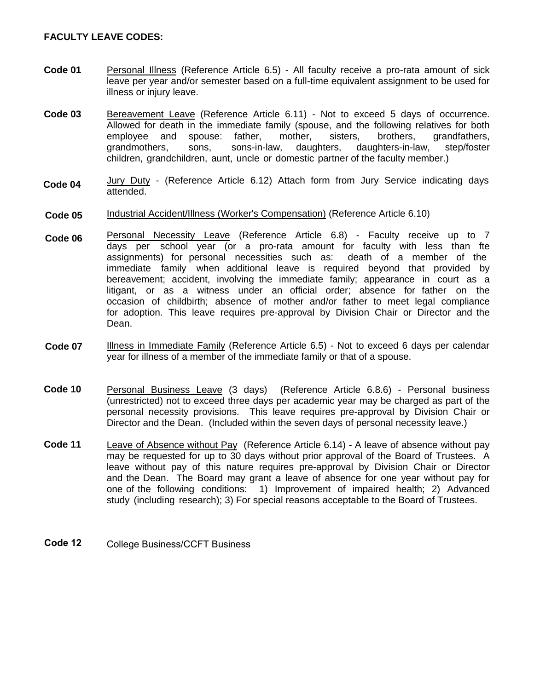#### **FACULTY LEAVE CODES:**

- **Code 01** Personal Illness (Reference Article 6.5) - All faculty receive a pro-rata amount of sick leave per year and/or semester based on a full-time equivalent assignment to be used for illness or injury leave.
- **Code 03** Bereavement Leave (Reference Article 6.11) - Not to exceed 5 days of occurrence. Allowed for death in the immediate family (spouse, and the following relatives for both employee and spouse: father, mother, sisters, brothers, grandfathers, grandmothers, sons, sons-in-law, daughters, daughters-in-law, step/foster children, grandchildren, aunt, uncle or domestic partner of the faculty member.)
- **Code 04** Jury Duty - (Reference Article 6.12) Attach form from Jury Service indicating days attended.
- **Code 05** Industrial Accident/Illness (Worker's Compensation) (Reference Article 6.10)
- **Code 06** Personal Necessity Leave (Reference Article 6.8) - Faculty receive up to 7 days per school year (or a pro-rata amount for faculty with less than fte<br>assignments) for personal necessities such as: death of a member of the assignments) for personal necessities such as: immediate family when additional leave is required beyond that provided by bereavement; accident, involving the immediate family; appearance in court as a litigant, or as a witness under an official order; absence for father on the occasion of childbirth; absence of mother and/or father to meet legal compliance for adoption. This leave requires pre-approval by Division Chair or Director and the Dean.
- **Code 07** Illness in Immediate Family (Reference Article 6.5) - Not to exceed 6 days per calendar year for illness of a member of the immediate family or that of a spouse.
- **Code 10** Personal Business Leave (3 days) (Reference Article 6.8.6) - Personal business (unrestricted) not to exceed three days per academic year may be charged as part of the personal necessity provisions. This leave requires pre-approval by Division Chair or Director and the Dean. (Included within the seven days of personal necessity leave.)
- **Code 11** Leave of Absence without Pay (Reference Article 6.14) - A leave of absence without pay may be requested for up to 30 days without prior approval of the Board of Trustees. A leave without pay of this nature requires pre-approval by Division Chair or Director and the Dean. The Board may grant a leave of absence for one year without pay for one of the following conditions: 1) Improvement of impaired health; 2) Advanced study (including research); 3) For special reasons acceptable to the Board of Trustees.

#### **Code 12** College Business/CCFT Business